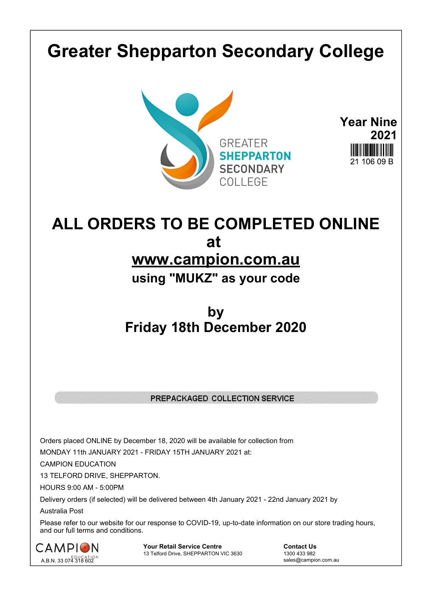# **Greater Shepparton Secondary College**





## **ALL ORDERS TO BE COMPLETED ONLINE at www.campion.com.au using "MUKZ" as your code**

### **by Friday 18th December 2020**

#### PREPACKAGED COLLECTION SERVICE

Orders placed ONLINE by December 18, 2020 will be available for collection from

MONDAY 11th JANUARY 2021 - FRIDAY 15TH JANUARY 2021 at:

CAMPION EDUCATION

13 TELFORD DRIVE, SHEPPARTON.

HOURS 9:00 AM - 5:00PM

Delivery orders (if selected) will be delivered between 4th January 2021 - 22nd January 2021 by

Australia Post

Please refer to our website for our response to COVID-19, up-to-date information on our store trading hours, and our full terms and conditions.



**Your Retail Service Centre Contact Us**<br>
13 Telford Drive, SHEPPARTON VIC 3630

1300 433 982 13 Telford Drive, SHEPPARTON VIC 3630

sales@campion.com.au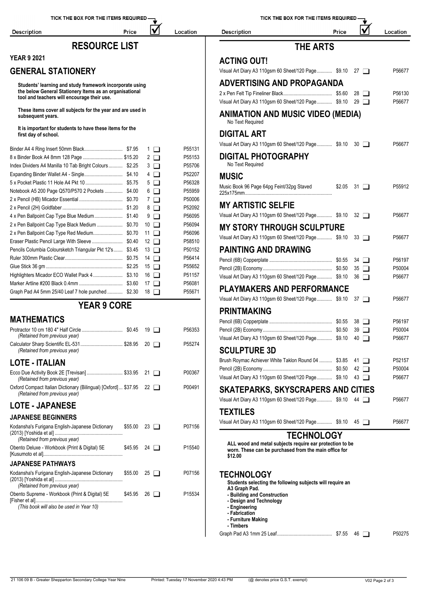| TICK THE BOX FOR THE ITEMS REQUIRED -                                                                  | <b>TICK THE BOX FO</b>                                                     |                       |          |                                                                                |
|--------------------------------------------------------------------------------------------------------|----------------------------------------------------------------------------|-----------------------|----------|--------------------------------------------------------------------------------|
| <b>Description</b>                                                                                     | Price                                                                      |                       | Location | <b>Description</b>                                                             |
| <b>RESOURCE LIST</b>                                                                                   |                                                                            |                       |          | TI                                                                             |
| <b>YEAR 9 2021</b>                                                                                     |                                                                            |                       |          | <b>ACTING OUT!</b>                                                             |
| <b>GENERAL STATIONERY</b>                                                                              |                                                                            |                       |          | Visual Art Diary A3 110gsm 60 Sheet/12                                         |
| Students' learning and study framework incorporate using                                               |                                                                            |                       |          | <b>ADVERTISING AND PR</b>                                                      |
| the below General Stationery Items as an organisational<br>tool and teachers will encourage their use. | 2 x Pen Felt Tip Fineliner Black<br>Visual Art Diary A3 110gsm 60 Sheet/12 |                       |          |                                                                                |
| These items cover all subjects for the year and are used in<br>subsequent years.                       | <b>ANIMATION AND MUSK</b><br>No Text Required                              |                       |          |                                                                                |
| It is important for students to have these items for the<br>first day of school.                       |                                                                            |                       |          | <b>DIGITAL ART</b>                                                             |
|                                                                                                        |                                                                            |                       | P55131   | Visual Art Diary A3 110gsm 60 Sheet/12                                         |
| 8 x Binder Book A4 8mm 128 Page  \$15.20                                                               |                                                                            | $1$ $\Box$<br>$2\Box$ | P55153   | <b>DIGITAL PHOTOGRAPH</b>                                                      |
| Index Dividers A4 Manilla 10 Tab Bright Colours \$2.25                                                 |                                                                            | $3\Box$               | P55706   | No Text Required                                                               |
|                                                                                                        |                                                                            | $4\Box$               | P52207   |                                                                                |
|                                                                                                        |                                                                            | $5\Box$               | P56328   | <b>MUSIC</b>                                                                   |
| Notebook A5 200 Page Q570/P570 2 Pockets  \$4.00                                                       |                                                                            | $6\Box$               | P55959   | Music Book 96 Page 64pg Feint/32pg St                                          |
|                                                                                                        |                                                                            | 7 <sub>1</sub>        | P50006   |                                                                                |
|                                                                                                        |                                                                            | $8\Box$               | P52092   | <b>MY ARTISTIC SELFIE</b>                                                      |
|                                                                                                        |                                                                            | $9\Box$               | P56095   | Visual Art Diary A3 110gsm 60 Sheet/12                                         |
|                                                                                                        |                                                                            | $10$ $\Box$           | P56094   |                                                                                |
| 2 x Pen Ballpoint Cap Type Red Medium \$0.70                                                           |                                                                            | 11 $\Box$             | P56096   | <b>MY STORY THROUGH :</b>                                                      |
| Eraser Plastic Pencil Large With Sleeve  \$0.40                                                        |                                                                            | 12 $\Box$             | P58510   | Visual Art Diary A3 110gsm 60 Sheet/12                                         |
| Pencils Columbia Coloursketch Triangular Pkt 12's \$3.45                                               |                                                                            | $13$ $\Box$           | P50152   | <b>PAINTING AND DRAWII</b>                                                     |
|                                                                                                        |                                                                            | 14 $\Box$             | P56414   | Pencil (6B) Copperplate                                                        |
|                                                                                                        |                                                                            | 15 $\Box$             | P55652   |                                                                                |
| Highlighters Micador ECO Wallet Pack 4 \$3.10                                                          |                                                                            | $16$ $\Box$           | P51157   | Visual Art Diary A3 110gsm 60 Sheet/12                                         |
|                                                                                                        |                                                                            | 17 $\Box$             | P56081   |                                                                                |
| Graph Pad A4 5mm 25/40 Leaf 7 hole punched  \$2.30                                                     |                                                                            | 18 $\Box$             | P55671   | <b>PLAYMAKERS AND PE</b><br>Visual Art Diary A3 110gsm 60 Sheet/12             |
| <b>YEAR 9 CORE</b>                                                                                     |                                                                            |                       |          | <b>PRINTMAKING</b>                                                             |
| <b>MATHEMATICS</b>                                                                                     |                                                                            |                       |          | Pencil (6B) Copperplate                                                        |
| Protractor 10 cm 180 4" Half Circle  \$0.45 19 □                                                       |                                                                            |                       | P56353   | Pencil (2B) Economy                                                            |
| (Retained from previous year)                                                                          |                                                                            |                       |          | Visual Art Diary A3 110gsm 60 Sheet/12                                         |
| Calculator Sharp Scientific EL-531 \$28.95 20<br>(Retained from previous year)                         |                                                                            |                       | P55274   | <b>SCULPTURE 3D</b>                                                            |
| <b>LOTE - ITALIAN</b>                                                                                  |                                                                            |                       |          | Brush Roymac Achiever White Taklon R                                           |
| Ecco Due Activity Book 2E [Trevisan]  \$33.95 21 □<br>(Retained from previous year)                    |                                                                            |                       | P00367   | Pencil (2B) Economy<br>Visual Art Diary A3 110gsm 60 Sheet/12                  |
| Oxford Compact Italian Dictionary (Bilingual) [Oxford]  \$37.95 22<br>(Retained from previous year)    |                                                                            |                       | P00491   | <b>SKATEPARKS, SKYSCI</b>                                                      |
| <b>LOTE - JAPANESE</b>                                                                                 |                                                                            |                       |          | Visual Art Diary A3 110gsm 60 Sheet/12<br><b>TEXTILES</b>                      |
| <b>JAPANESE BEGINNERS</b>                                                                              |                                                                            |                       |          |                                                                                |
| Kodansha's Furigana English-Japanese Dictionary                                                        |                                                                            | $$55.00$ 23 $\Box$    | P07156   | Visual Art Diary A3 110gsm 60 Sheet/12<br>TEO                                  |
| (Retained from previous year)<br>Obento Deluxe - Workbook (Print & Digital) 5E                         |                                                                            | $$45.95$ 24 $\Box$    | P15540   | ALL wood and metal subjects req<br>worn. These can be purchased fro<br>\$12.00 |
| <b>JAPANESE PATHWAYS</b>                                                                               |                                                                            |                       |          |                                                                                |
| Kodansha's Furigana English-Japanese Dictionary<br>(Retained from previous year)                       |                                                                            | $$55.00$ 25 $\Box$    | P07156   | <b>TECHNOLOGY</b><br>Students selecting the following s                        |
| Obento Supreme - Workbook (Print & Digital) 5E                                                         | \$45.95                                                                    | $26$ $\Box$           | P15534   | A3 Graph Pad.<br>- Building and Construction                                   |

*(This book will also be used in Year 10)* [Fisher et al].................................................................... \$45.95 <sup>26</sup> P15534

HE BOX FOR THE ITEMS REQUIRED.  $\dot{\mathbf{M}}$ 

#### **THE ARTS**

Price

Location

| Visual Art Diary A3 110gsm 60 Sheet/120 Page \$9.10<br>27 $\Box$   | P56677 |
|--------------------------------------------------------------------|--------|
| <b>ADVERTISING AND PROPAGANDA</b>                                  |        |
| $28$ $\Box$                                                        | P56130 |
| Visual Art Diary A3 110gsm 60 Sheet/120 Page \$9.10<br>$29 \Box$   | P56677 |
| <b>ANIMATION AND MUSIC VIDEO (MEDIA)</b><br>No Text Required       |        |
| <b>DIGITAL ART</b>                                                 |        |
| Visual Art Diary A3 110gsm 60 Sheet/120 Page \$9.10 30             | P56677 |
| <b>DIGITAL PHOTOGRAPHY</b><br>No Text Required                     |        |
| <b>MUSIC</b>                                                       |        |
| Music Book 96 Page 64pg Feint/32pg Staved<br>\$2.05<br>$31$ $\Box$ | P55912 |
| <b>MY ARTISTIC SELFIE</b>                                          |        |
| Visual Art Diary A3 110gsm 60 Sheet/120 Page \$9.10<br>$32 \Box$   | P56677 |
| <b>MY STORY THROUGH SCULPTURE</b>                                  |        |
| Visual Art Diary A3 110gsm 60 Sheet/120 Page \$9.10<br>$33$ $\Box$ | P56677 |
| <b>PAINTING AND DRAWING</b>                                        |        |
| $34$ $\Box$                                                        | P56197 |
| $35\Box$                                                           | P50004 |
| Visual Art Diary A3 110gsm 60 Sheet/120 Page \$9.10<br>$36$ $\Box$ | P56677 |
| <b>PLAYMAKERS AND PERFORMANCE</b>                                  |        |
| Visual Art Diary A3 110gsm 60 Sheet/120 Page \$9.10<br>$37 \perp$  | P56677 |
| <b>PRINTMAKING</b>                                                 |        |
| $38$ $\Box$                                                        | P56197 |
| $39$ $\Box$                                                        | P50004 |
| Visual Art Diary A3 110gsm 60 Sheet/120 Page \$9.10<br>$40$ $\Box$ | P56677 |
| <b>SCULPTURE 3D</b>                                                |        |
| Brush Roymac Achiever White Taklon Round 04  \$3.85<br>41 I        | P52157 |
| 42 □                                                               | P50004 |
| Visual Art Diary A3 110gsm 60 Sheet/120 Page \$9.10 43             | P56677 |
| <b>SKATEPARKS, SKYSCRAPERS AND CITIES</b>                          |        |
| Visual Art Diary A3 110gsm 60 Sheet/120 Page \$9.10<br>44 O        | P56677 |
| <b>TEXTILES</b>                                                    |        |
| Visual Art Diary A3 110gsm 60 Sheet/120 Page \$9.10<br>$45$        | P56677 |